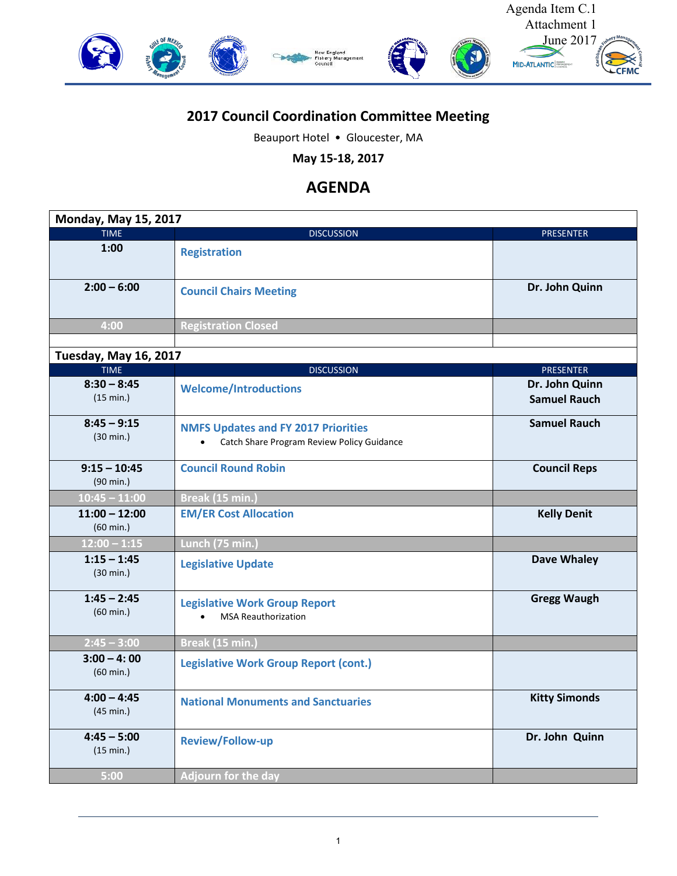

## **2017 Council Coordination Committee Meeting**

Beauport Hotel • Gloucester, MA

**May 15-18, 2017**

## **AGENDA**

| <b>Monday, May 15, 2017</b>            |                                                                                          |                                       |  |
|----------------------------------------|------------------------------------------------------------------------------------------|---------------------------------------|--|
| <b>TIME</b>                            | <b>DISCUSSION</b>                                                                        | <b>PRESENTER</b>                      |  |
| 1:00                                   | <b>Registration</b>                                                                      |                                       |  |
| $2:00 - 6:00$                          | <b>Council Chairs Meeting</b>                                                            | Dr. John Quinn                        |  |
| 4:00                                   | <b>Registration Closed</b>                                                               |                                       |  |
| <b>Tuesday, May 16, 2017</b>           |                                                                                          |                                       |  |
| <b>TIME</b>                            | <b>DISCUSSION</b>                                                                        | <b>PRESENTER</b>                      |  |
| $8:30 - 8:45$<br>(15 min.)             | <b>Welcome/Introductions</b>                                                             | Dr. John Quinn<br><b>Samuel Rauch</b> |  |
| $8:45 - 9:15$<br>$(30 \text{ min.})$   | <b>NMFS Updates and FY 2017 Priorities</b><br>Catch Share Program Review Policy Guidance | <b>Samuel Rauch</b>                   |  |
| $9:15 - 10:45$<br>(90 min.)            | <b>Council Round Robin</b>                                                               | <b>Council Reps</b>                   |  |
| $10:45 - 11:00$                        | Break (15 min.)                                                                          |                                       |  |
| $11:00 - 12:00$<br>$(60 \text{ min.})$ | <b>EM/ER Cost Allocation</b>                                                             | <b>Kelly Denit</b>                    |  |
| $12:00 - 1:15$                         | Lunch (75 min.)                                                                          |                                       |  |
| $1:15 - 1:45$<br>$(30 \text{ min.})$   | <b>Legislative Update</b>                                                                | <b>Dave Whaley</b>                    |  |
| $1:45 - 2:45$<br>$(60 \text{ min.})$   | <b>Legislative Work Group Report</b><br><b>MSA Reauthorization</b>                       | <b>Gregg Waugh</b>                    |  |
| $2:45 - 3:00$                          | Break (15 min.)                                                                          |                                       |  |
| $3:00 - 4:00$<br>$(60 \text{ min.})$   | <b>Legislative Work Group Report (cont.)</b>                                             |                                       |  |
| $4:00 - 4:45$<br>$(45 \text{ min.})$   | <b>National Monuments and Sanctuaries</b>                                                | <b>Kitty Simonds</b>                  |  |
| $4:45 - 5:00$<br>(15 min.)             | <b>Review/Follow-up</b>                                                                  | Dr. John Quinn                        |  |
| 5:00                                   | <b>Adjourn for the day</b>                                                               |                                       |  |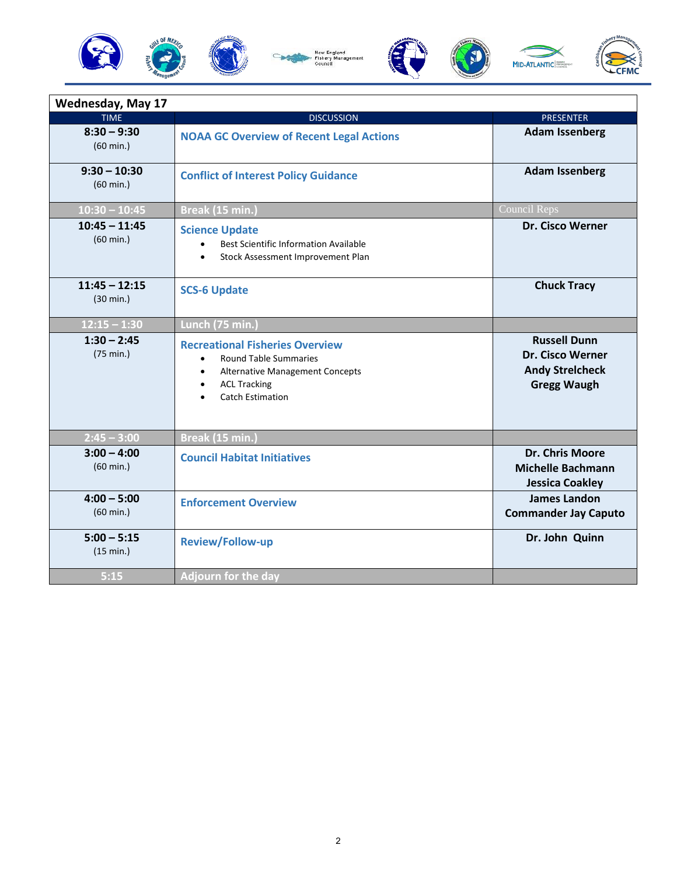



| <b>Wednesday, May 17</b>               |                                                                                                                                                                                                    |                                                                                                |
|----------------------------------------|----------------------------------------------------------------------------------------------------------------------------------------------------------------------------------------------------|------------------------------------------------------------------------------------------------|
| <b>TIME</b>                            | <b>DISCUSSION</b>                                                                                                                                                                                  | <b>PRESENTER</b>                                                                               |
| $8:30 - 9:30$<br>$(60 \text{ min.})$   | <b>NOAA GC Overview of Recent Legal Actions</b>                                                                                                                                                    | <b>Adam Issenberg</b>                                                                          |
| $9:30 - 10:30$<br>$(60 \text{ min.})$  | <b>Conflict of Interest Policy Guidance</b>                                                                                                                                                        | <b>Adam Issenberg</b>                                                                          |
| $10:30 - 10:45$                        | Break (15 min.)                                                                                                                                                                                    | <b>Council Reps</b>                                                                            |
| $10:45 - 11:45$<br>(60 min.)           | <b>Science Update</b><br>Best Scientific Information Available<br>$\bullet$<br>Stock Assessment Improvement Plan<br>$\bullet$                                                                      | <b>Dr. Cisco Werner</b>                                                                        |
| $11:45 - 12:15$<br>$(30 \text{ min.})$ | <b>SCS-6 Update</b>                                                                                                                                                                                | <b>Chuck Tracy</b>                                                                             |
| $12:15 - 1:30$                         | Lunch (75 min.)                                                                                                                                                                                    |                                                                                                |
| $1:30 - 2:45$<br>(75 min.)             | <b>Recreational Fisheries Overview</b><br><b>Round Table Summaries</b><br>$\bullet$<br>Alternative Management Concepts<br>$\bullet$<br><b>ACL Tracking</b><br>$\bullet$<br><b>Catch Estimation</b> | <b>Russell Dunn</b><br><b>Dr. Cisco Werner</b><br><b>Andy Streicheck</b><br><b>Gregg Waugh</b> |
| $2:45 - 3:00$                          | Break (15 min.)                                                                                                                                                                                    |                                                                                                |
| $3:00 - 4:00$<br>$(60 \text{ min.})$   | <b>Council Habitat Initiatives</b>                                                                                                                                                                 | <b>Dr. Chris Moore</b><br><b>Michelle Bachmann</b><br><b>Jessica Coakley</b>                   |
| $4:00 - 5:00$<br>$(60 \text{ min.})$   | <b>Enforcement Overview</b>                                                                                                                                                                        | <b>James Landon</b><br><b>Commander Jay Caputo</b>                                             |
| $5:00 - 5:15$<br>(15 min.)             | Review/Follow-up                                                                                                                                                                                   | Dr. John Quinn                                                                                 |
| 5:15                                   | <b>Adjourn for the day</b>                                                                                                                                                                         |                                                                                                |